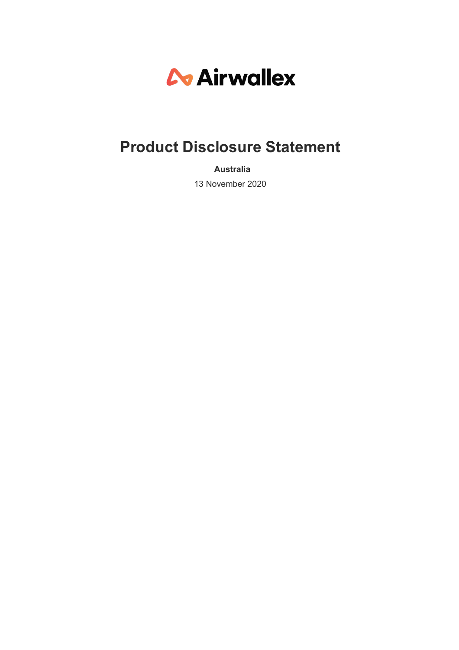# *C* Airwallex

# **Product Disclosure Statement**

**Australia**

13 November 2020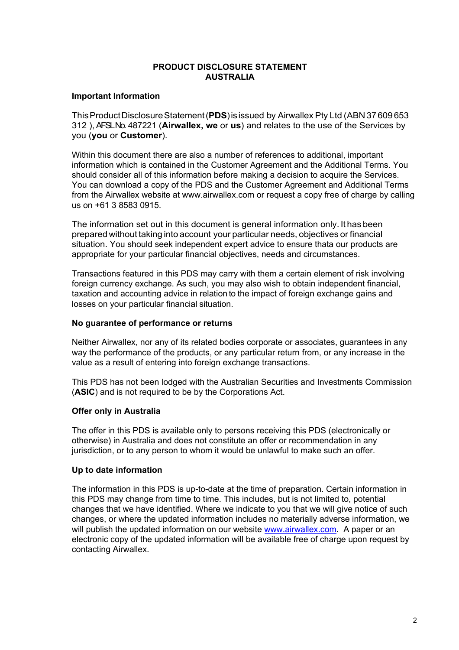# **PRODUCT DISCLOSURE STATEMENT AUSTRALIA**

#### **Important Information**

ThisProductDisclosureStatement(**PDS**)isissued by Airwallex Pty Ltd (ABN 37 609 653 312 ), AFSL No. 487221 (**Airwallex, we** or **us**) and relates to the use of the Services by you (**you** or **Customer**).

Within this document there are also a number of references to additional, important information which is contained in the Customer Agreement and the Additional Terms. You should consider all of this information before making a decision to acquire the Services. You can download a copy of the PDS and the Customer Agreement and Additional Terms from the Airwallex website at www.airwallex.com or request a copy free of charge by calling us on +61 3 8583 0915.

The information set out in this document is general information only. It has been prepared without taking into account your particular needs, objectives or financial situation. You should seek independent expert advice to ensure thata our products are appropriate for your particular financial objectives, needs and circumstances.

Transactions featured in this PDS may carry with them a certain element of risk involving foreign currency exchange. As such, you may also wish to obtain independent financial, taxation and accounting advice in relation to the impact of foreign exchange gains and losses on your particular financial situation.

# **No guarantee of performance or returns**

Neither Airwallex, nor any of its related bodies corporate or associates, guarantees in any way the performance of the products, or any particular return from, or any increase in the value as a result of entering into foreign exchange transactions.

This PDS has not been lodged with the Australian Securities and Investments Commission (**ASIC**) and is not required to be by the Corporations Act.

# **Offer only in Australia**

The offer in this PDS is available only to persons receiving this PDS (electronically or otherwise) in Australia and does not constitute an offer or recommendation in any jurisdiction, or to any person to whom it would be unlawful to make such an offer.

# **Up to date information**

The information in this PDS is up-to-date at the time of preparation. Certain information in this PDS may change from time to time. This includes, but is not limited to, potential changes that we have identified. Where we indicate to you that we will give notice of such changes, or where the updated information includes no materially adverse information, we will publish the updated information on our website www.airwallex.com. A paper or an electronic copy of the updated information will be available free of charge upon request by contacting Airwallex.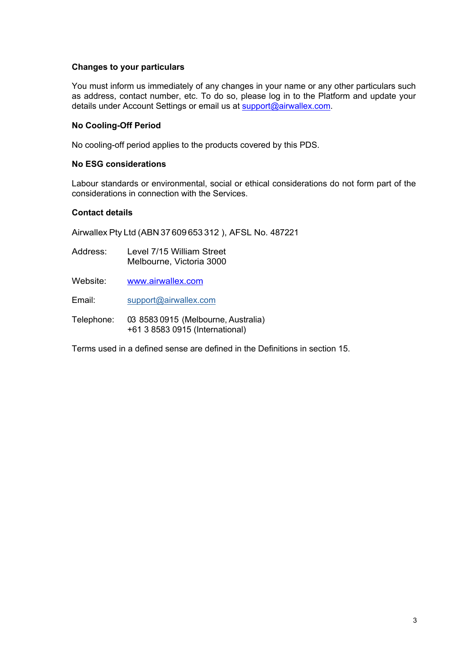# **Changes to your particulars**

You must inform us immediately of any changes in your name or any other particulars such as address, contact number, etc. To do so, please log in to the Platform and update your details under Account Settings or email us at support@airwallex.com.

# **No Cooling-Off Period**

No cooling-off period applies to the products covered by this PDS.

#### **No ESG considerations**

Labour standards or environmental, social or ethical considerations do not form part of the considerations in connection with the Services.

#### **Contact details**

Airwallex Pty Ltd (ABN 37 609 653 312 ), AFSL No. 487221

- Address: Level 7/15 William Street Melbourne, Victoria 3000
- Website: www.airwallex.com
- Email: support@airwallex.com
- Telephone: 03 8583 0915 (Melbourne, Australia) +61 3 8583 0915 (International)

Terms used in a defined sense are defined in the Definitions in section 15.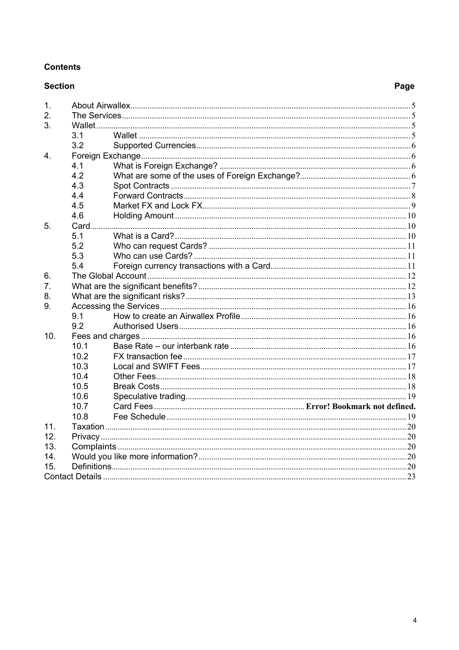| <b>Contents</b> |
|-----------------|
|-----------------|

#### **Section**

# Page

| $\mathbf{1}$ . |                 |  |  |  |  |  |
|----------------|-----------------|--|--|--|--|--|
| 2.             |                 |  |  |  |  |  |
| 3.             |                 |  |  |  |  |  |
|                | 3.1             |  |  |  |  |  |
|                | 3.2             |  |  |  |  |  |
| 4.             |                 |  |  |  |  |  |
|                | 4.1             |  |  |  |  |  |
|                | 4.2             |  |  |  |  |  |
|                | 4.3             |  |  |  |  |  |
|                | 4.4             |  |  |  |  |  |
|                | 4.5             |  |  |  |  |  |
|                | 4.6             |  |  |  |  |  |
| 5.             |                 |  |  |  |  |  |
|                | 5.1             |  |  |  |  |  |
|                | 5.2             |  |  |  |  |  |
|                | 5.3             |  |  |  |  |  |
|                | 5.4             |  |  |  |  |  |
| 6.             |                 |  |  |  |  |  |
| 7.             |                 |  |  |  |  |  |
| 8.             |                 |  |  |  |  |  |
| 9.             |                 |  |  |  |  |  |
|                | 9.1             |  |  |  |  |  |
|                | 9.2             |  |  |  |  |  |
| 10.            |                 |  |  |  |  |  |
|                | 10 <sub>1</sub> |  |  |  |  |  |
|                | 10.2            |  |  |  |  |  |
|                | 10.3            |  |  |  |  |  |
|                | 10.4            |  |  |  |  |  |
|                | 10.5            |  |  |  |  |  |
|                | 10.6            |  |  |  |  |  |
|                | 10.7            |  |  |  |  |  |
|                | 10.8            |  |  |  |  |  |
| 11.            |                 |  |  |  |  |  |
| 12.            |                 |  |  |  |  |  |
| 13.            |                 |  |  |  |  |  |
| 14.            |                 |  |  |  |  |  |
| 15.            |                 |  |  |  |  |  |
|                |                 |  |  |  |  |  |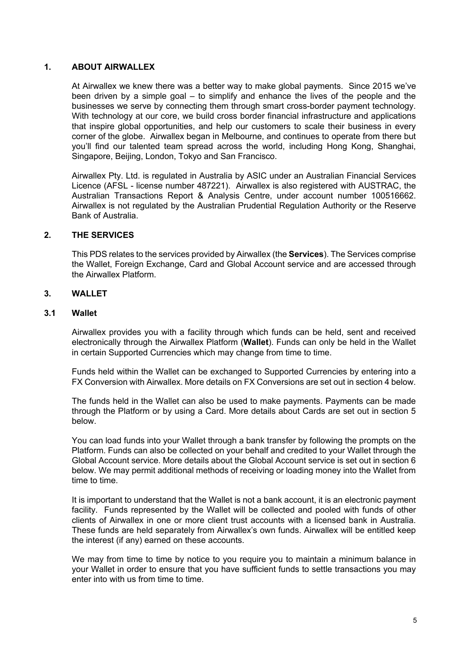# **1. ABOUT AIRWALLEX**

At Airwallex we knew there was a better way to make global payments. Since 2015 we've been driven by a simple goal – to simplify and enhance the lives of the people and the businesses we serve by connecting them through smart cross-border payment technology. With technology at our core, we build cross border financial infrastructure and applications that inspire global opportunities, and help our customers to scale their business in every corner of the globe. Airwallex began in Melbourne, and continues to operate from there but you'll find our talented team spread across the world, including Hong Kong, Shanghai, Singapore, Beijing, London, Tokyo and San Francisco.

Airwallex Pty. Ltd. is regulated in Australia by ASIC under an Australian Financial Services Licence (AFSL - license number 487221). Airwallex is also registered with AUSTRAC, the Australian Transactions Report & Analysis Centre, under account number 100516662. Airwallex is not regulated by the Australian Prudential Regulation Authority or the Reserve Bank of Australia.

# **2. THE SERVICES**

This PDS relates to the services provided by Airwallex (the **Services**). The Services comprise the Wallet, Foreign Exchange, Card and Global Account service and are accessed through the Airwallex Platform.

# **3. WALLET**

# **3.1 Wallet**

Airwallex provides you with a facility through which funds can be held, sent and received electronically through the Airwallex Platform (**Wallet**). Funds can only be held in the Wallet in certain Supported Currencies which may change from time to time.

Funds held within the Wallet can be exchanged to Supported Currencies by entering into a FX Conversion with Airwallex. More details on FX Conversions are set out in section 4 below.

The funds held in the Wallet can also be used to make payments. Payments can be made through the Platform or by using a Card. More details about Cards are set out in section 5 below.

You can load funds into your Wallet through a bank transfer by following the prompts on the Platform. Funds can also be collected on your behalf and credited to your Wallet through the Global Account service. More details about the Global Account service is set out in section 6 below. We may permit additional methods of receiving or loading money into the Wallet from time to time.

It is important to understand that the Wallet is not a bank account, it is an electronic payment facility. Funds represented by the Wallet will be collected and pooled with funds of other clients of Airwallex in one or more client trust accounts with a licensed bank in Australia. These funds are held separately from Airwallex's own funds. Airwallex will be entitled keep the interest (if any) earned on these accounts.

We may from time to time by notice to you require you to maintain a minimum balance in your Wallet in order to ensure that you have sufficient funds to settle transactions you may enter into with us from time to time.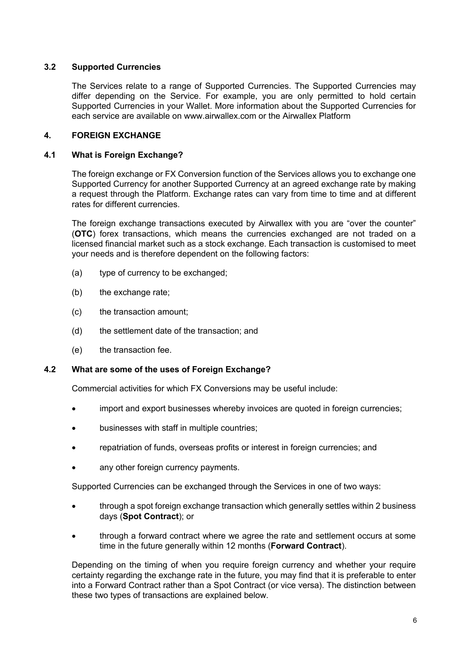# **3.2 Supported Currencies**

The Services relate to a range of Supported Currencies. The Supported Currencies may differ depending on the Service. For example, you are only permitted to hold certain Supported Currencies in your Wallet. More information about the Supported Currencies for each service are available on www.airwallex.com or the Airwallex Platform

# **4. FOREIGN EXCHANGE**

# **4.1 What is Foreign Exchange?**

The foreign exchange or FX Conversion function of the Services allows you to exchange one Supported Currency for another Supported Currency at an agreed exchange rate by making a request through the Platform. Exchange rates can vary from time to time and at different rates for different currencies.

The foreign exchange transactions executed by Airwallex with you are "over the counter" (**OTC**) forex transactions, which means the currencies exchanged are not traded on a licensed financial market such as a stock exchange. Each transaction is customised to meet your needs and is therefore dependent on the following factors:

- (a) type of currency to be exchanged;
- (b) the exchange rate;
- (c) the transaction amount;
- (d) the settlement date of the transaction; and
- (e) the transaction fee.

# **4.2 What are some of the uses of Foreign Exchange?**

Commercial activities for which FX Conversions may be useful include:

- import and export businesses whereby invoices are quoted in foreign currencies;
- businesses with staff in multiple countries;
- repatriation of funds, overseas profits or interest in foreign currencies; and
- any other foreign currency payments.

Supported Currencies can be exchanged through the Services in one of two ways:

- through a spot foreign exchange transaction which generally settles within 2 business days (**Spot Contract**); or
- through a forward contract where we agree the rate and settlement occurs at some time in the future generally within 12 months (**Forward Contract**).

Depending on the timing of when you require foreign currency and whether your require certainty regarding the exchange rate in the future, you may find that it is preferable to enter into a Forward Contract rather than a Spot Contract (or vice versa). The distinction between these two types of transactions are explained below.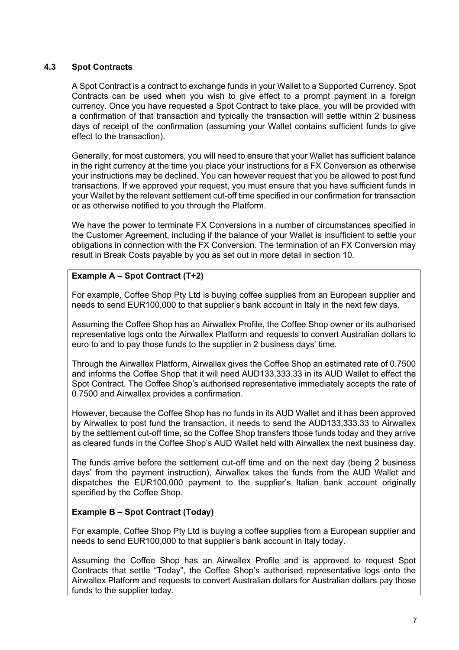# **4.3 Spot Contracts**

A Spot Contract is a contract to exchange funds in your Wallet to a Supported Currency. Spot Contracts can be used when you wish to give effect to a prompt payment in a foreign currency. Once you have requested a Spot Contract to take place, you will be provided with a confirmation of that transaction and typically the transaction will settle within 2 business days of receipt of the confirmation (assuming your Wallet contains sufficient funds to give effect to the transaction).

Generally, for most customers, you will need to ensure that your Wallet has sufficient balance in the right currency at the time you place your instructions for a FX Conversion as otherwise your instructions may be declined. You can however request that you be allowed to post fund transactions. If we approved your request, you must ensure that you have sufficient funds in your Wallet by the relevant settlement cut-off time specified in our confirmation for transaction or as otherwise notified to you through the Platform.

We have the power to terminate FX Conversions in a number of circumstances specified in the Customer Agreement, including if the balance of your Wallet is insufficient to settle your obligations in connection with the FX Conversion. The termination of an FX Conversion may result in Break Costs payable by you as set out in more detail in section 10.

# **Example A – Spot Contract (T+2)**

For example, Coffee Shop Pty Ltd is buying coffee supplies from an European supplier and needs to send EUR100,000 to that supplier's bank account in Italy in the next few days.

Assuming the Coffee Shop has an Airwallex Profile, the Coffee Shop owner or its authorised representative logs onto the Airwallex Platform and requests to convert Australian dollars to euro to and to pay those funds to the supplier in 2 business days' time.

Through the Airwallex Platform, Airwallex gives the Coffee Shop an estimated rate of 0.7500 and informs the Coffee Shop that it will need AUD133,333.33 in its AUD Wallet to effect the Spot Contract. The Coffee Shop's authorised representative immediately accepts the rate of 0.7500 and Airwallex provides a confirmation.

However, because the Coffee Shop has no funds in its AUD Wallet and it has been approved by Airwallex to post fund the transaction, it needs to send the AUD133,333.33 to Airwallex by the settlement cut-off time, so the Coffee Shop transfers those funds today and they arrive as cleared funds in the Coffee Shop's AUD Wallet held with Airwallex the next business day.

The funds arrive before the settlement cut-off time and on the next day (being 2 business days' from the payment instruction), Airwallex takes the funds from the AUD Wallet and dispatches the EUR100,000 payment to the supplier's Italian bank account originally specified by the Coffee Shop.

# **Example B – Spot Contract (Today)**

For example, Coffee Shop Pty Ltd is buying a coffee supplies from a European supplier and needs to send EUR100,000 to that supplier's bank account in Italy today.

Assuming the Coffee Shop has an Airwallex Profile and is approved to request Spot Contracts that settle "Today", the Coffee Shop's authorised representative logs onto the Airwallex Platform and requests to convert Australian dollars for Australian dollars pay those funds to the supplier today.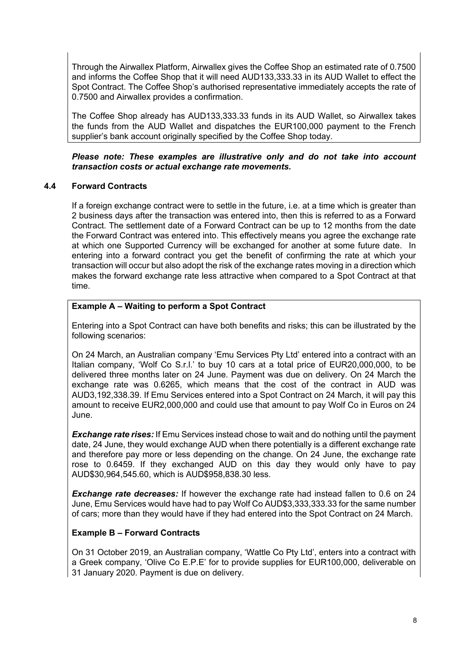Through the Airwallex Platform, Airwallex gives the Coffee Shop an estimated rate of 0.7500 and informs the Coffee Shop that it will need AUD133,333.33 in its AUD Wallet to effect the Spot Contract. The Coffee Shop's authorised representative immediately accepts the rate of 0.7500 and Airwallex provides a confirmation.

The Coffee Shop already has AUD133,333.33 funds in its AUD Wallet, so Airwallex takes the funds from the AUD Wallet and dispatches the EUR100,000 payment to the French supplier's bank account originally specified by the Coffee Shop today.

#### *Please note: These examples are illustrative only and do not take into account transaction costs or actual exchange rate movements.*

# **4.4 Forward Contracts**

If a foreign exchange contract were to settle in the future, i.e. at a time which is greater than 2 business days after the transaction was entered into, then this is referred to as a Forward Contract. The settlement date of a Forward Contract can be up to 12 months from the date the Forward Contract was entered into. This effectively means you agree the exchange rate at which one Supported Currency will be exchanged for another at some future date. In entering into a forward contract you get the benefit of confirming the rate at which your transaction will occur but also adopt the risk of the exchange rates moving in a direction which makes the forward exchange rate less attractive when compared to a Spot Contract at that time.

#### **Example A – Waiting to perform a Spot Contract**

Entering into a Spot Contract can have both benefits and risks; this can be illustrated by the following scenarios:

On 24 March, an Australian company 'Emu Services Pty Ltd' entered into a contract with an Italian company, 'Wolf Co S.r.l.' to buy 10 cars at a total price of EUR20,000,000, to be delivered three months later on 24 June. Payment was due on delivery. On 24 March the exchange rate was 0.6265, which means that the cost of the contract in AUD was AUD3,192,338.39. If Emu Services entered into a Spot Contract on 24 March, it will pay this amount to receive EUR2,000,000 and could use that amount to pay Wolf Co in Euros on 24 June.

**Exchange rate rises:** If Emu Services instead chose to wait and do nothing until the payment date, 24 June, they would exchange AUD when there potentially is a different exchange rate and therefore pay more or less depending on the change. On 24 June, the exchange rate rose to 0.6459. If they exchanged AUD on this day they would only have to pay AUD\$30,964,545.60, which is AUD\$958,838.30 less.

*Exchange rate decreases:* If however the exchange rate had instead fallen to 0.6 on 24 June, Emu Services would have had to pay Wolf Co AUD\$3,333,333.33 for the same number of cars; more than they would have if they had entered into the Spot Contract on 24 March.

# **Example B – Forward Contracts**

On 31 October 2019, an Australian company, 'Wattle Co Pty Ltd', enters into a contract with a Greek company, 'Olive Co E.P.E' for to provide supplies for EUR100,000, deliverable on 31 January 2020. Payment is due on delivery.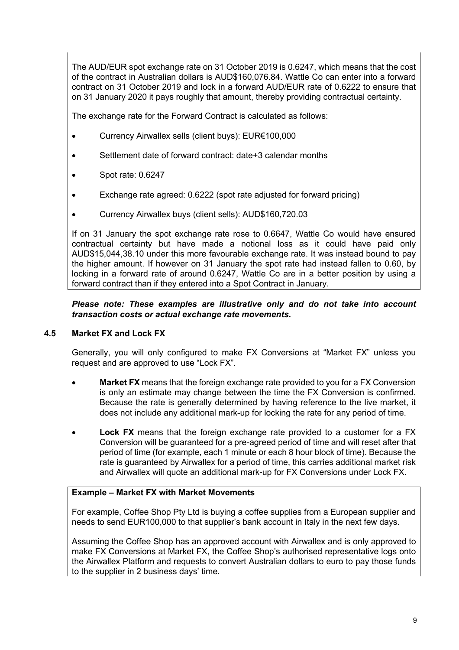The AUD/EUR spot exchange rate on 31 October 2019 is 0.6247, which means that the cost of the contract in Australian dollars is AUD\$160,076.84. Wattle Co can enter into a forward contract on 31 October 2019 and lock in a forward AUD/EUR rate of 0.6222 to ensure that on 31 January 2020 it pays roughly that amount, thereby providing contractual certainty.

The exchange rate for the Forward Contract is calculated as follows:

- Currency Airwallex sells (client buys): EUR€100,000
- Settlement date of forward contract: date+3 calendar months
- Spot rate: 0.6247
- Exchange rate agreed: 0.6222 (spot rate adjusted for forward pricing)
- Currency Airwallex buys (client sells): AUD\$160,720.03

If on 31 January the spot exchange rate rose to 0.6647, Wattle Co would have ensured contractual certainty but have made a notional loss as it could have paid only AUD\$15,044,38.10 under this more favourable exchange rate. It was instead bound to pay the higher amount. If however on 31 January the spot rate had instead fallen to 0.60, by locking in a forward rate of around 0.6247, Wattle Co are in a better position by using a forward contract than if they entered into a Spot Contract in January.

# *Please note: These examples are illustrative only and do not take into account transaction costs or actual exchange rate movements.*

# **4.5 Market FX and Lock FX**

Generally, you will only configured to make FX Conversions at "Market FX" unless you request and are approved to use "Lock FX".

- **Market FX** means that the foreign exchange rate provided to you for a FX Conversion is only an estimate may change between the time the FX Conversion is confirmed. Because the rate is generally determined by having reference to the live market, it does not include any additional mark-up for locking the rate for any period of time.
- **Lock FX** means that the foreign exchange rate provided to a customer for a FX Conversion will be guaranteed for a pre-agreed period of time and will reset after that period of time (for example, each 1 minute or each 8 hour block of time). Because the rate is guaranteed by Airwallex for a period of time, this carries additional market risk and Airwallex will quote an additional mark-up for FX Conversions under Lock FX.

# **Example – Market FX with Market Movements**

For example, Coffee Shop Pty Ltd is buying a coffee supplies from a European supplier and needs to send EUR100,000 to that supplier's bank account in Italy in the next few days.

Assuming the Coffee Shop has an approved account with Airwallex and is only approved to make FX Conversions at Market FX, the Coffee Shop's authorised representative logs onto the Airwallex Platform and requests to convert Australian dollars to euro to pay those funds to the supplier in 2 business days' time.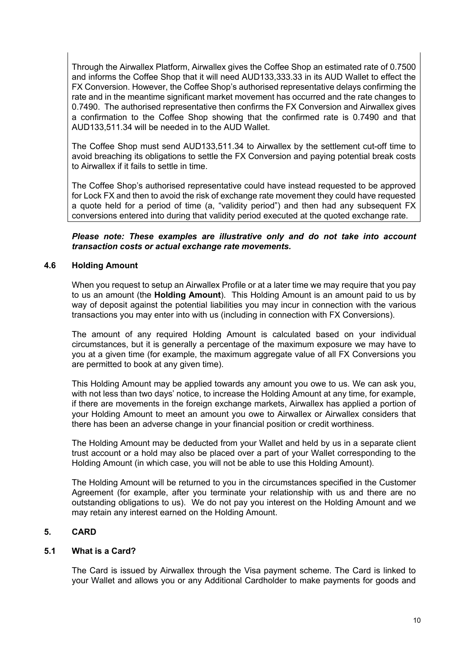Through the Airwallex Platform, Airwallex gives the Coffee Shop an estimated rate of 0.7500 and informs the Coffee Shop that it will need AUD133,333.33 in its AUD Wallet to effect the FX Conversion. However, the Coffee Shop's authorised representative delays confirming the rate and in the meantime significant market movement has occurred and the rate changes to 0.7490. The authorised representative then confirms the FX Conversion and Airwallex gives a confirmation to the Coffee Shop showing that the confirmed rate is 0.7490 and that AUD133,511.34 will be needed in to the AUD Wallet.

The Coffee Shop must send AUD133,511.34 to Airwallex by the settlement cut-off time to avoid breaching its obligations to settle the FX Conversion and paying potential break costs to Airwallex if it fails to settle in time.

The Coffee Shop's authorised representative could have instead requested to be approved for Lock FX and then to avoid the risk of exchange rate movement they could have requested a quote held for a period of time (a, "validity period") and then had any subsequent FX conversions entered into during that validity period executed at the quoted exchange rate.

*Please note: These examples are illustrative only and do not take into account transaction costs or actual exchange rate movements.*

# **4.6 Holding Amount**

When you request to setup an Airwallex Profile or at a later time we may require that you pay to us an amount (the **Holding Amount**). This Holding Amount is an amount paid to us by way of deposit against the potential liabilities you may incur in connection with the various transactions you may enter into with us (including in connection with FX Conversions).

The amount of any required Holding Amount is calculated based on your individual circumstances, but it is generally a percentage of the maximum exposure we may have to you at a given time (for example, the maximum aggregate value of all FX Conversions you are permitted to book at any given time).

This Holding Amount may be applied towards any amount you owe to us. We can ask you, with not less than two days' notice, to increase the Holding Amount at any time, for example, if there are movements in the foreign exchange markets, Airwallex has applied a portion of your Holding Amount to meet an amount you owe to Airwallex or Airwallex considers that there has been an adverse change in your financial position or credit worthiness.

The Holding Amount may be deducted from your Wallet and held by us in a separate client trust account or a hold may also be placed over a part of your Wallet corresponding to the Holding Amount (in which case, you will not be able to use this Holding Amount).

The Holding Amount will be returned to you in the circumstances specified in the Customer Agreement (for example, after you terminate your relationship with us and there are no outstanding obligations to us). We do not pay you interest on the Holding Amount and we may retain any interest earned on the Holding Amount.

# **5. CARD**

# **5.1 What is a Card?**

The Card is issued by Airwallex through the Visa payment scheme. The Card is linked to your Wallet and allows you or any Additional Cardholder to make payments for goods and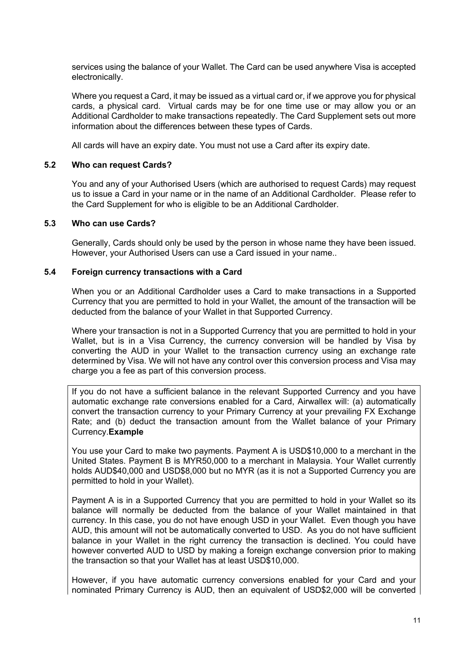services using the balance of your Wallet. The Card can be used anywhere Visa is accepted electronically.

Where you request a Card, it may be issued as a virtual card or, if we approve you for physical cards, a physical card. Virtual cards may be for one time use or may allow you or an Additional Cardholder to make transactions repeatedly. The Card Supplement sets out more information about the differences between these types of Cards.

All cards will have an expiry date. You must not use a Card after its expiry date.

#### **5.2 Who can request Cards?**

You and any of your Authorised Users (which are authorised to request Cards) may request us to issue a Card in your name or in the name of an Additional Cardholder. Please refer to the Card Supplement for who is eligible to be an Additional Cardholder.

#### **5.3 Who can use Cards?**

Generally, Cards should only be used by the person in whose name they have been issued. However, your Authorised Users can use a Card issued in your name..

#### **5.4 Foreign currency transactions with a Card**

When you or an Additional Cardholder uses a Card to make transactions in a Supported Currency that you are permitted to hold in your Wallet, the amount of the transaction will be deducted from the balance of your Wallet in that Supported Currency.

Where your transaction is not in a Supported Currency that you are permitted to hold in your Wallet, but is in a Visa Currency, the currency conversion will be handled by Visa by converting the AUD in your Wallet to the transaction currency using an exchange rate determined by Visa. We will not have any control over this conversion process and Visa may charge you a fee as part of this conversion process.

If you do not have a sufficient balance in the relevant Supported Currency and you have automatic exchange rate conversions enabled for a Card, Airwallex will: (a) automatically convert the transaction currency to your Primary Currency at your prevailing FX Exchange Rate; and (b) deduct the transaction amount from the Wallet balance of your Primary Currency.**Example**

You use your Card to make two payments. Payment A is USD\$10,000 to a merchant in the United States. Payment B is MYR50,000 to a merchant in Malaysia. Your Wallet currently holds AUD\$40,000 and USD\$8,000 but no MYR (as it is not a Supported Currency you are permitted to hold in your Wallet).

Payment A is in a Supported Currency that you are permitted to hold in your Wallet so its balance will normally be deducted from the balance of your Wallet maintained in that currency. In this case, you do not have enough USD in your Wallet. Even though you have AUD, this amount will not be automatically converted to USD. As you do not have sufficient balance in your Wallet in the right currency the transaction is declined. You could have however converted AUD to USD by making a foreign exchange conversion prior to making the transaction so that your Wallet has at least USD\$10,000.

However, if you have automatic currency conversions enabled for your Card and your nominated Primary Currency is AUD, then an equivalent of USD\$2,000 will be converted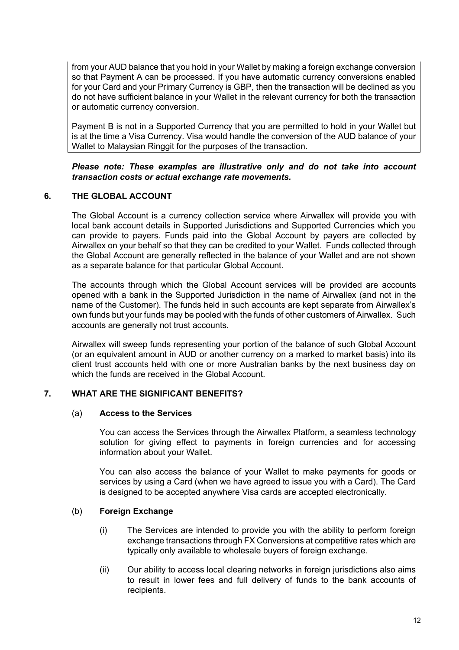from your AUD balance that you hold in your Wallet by making a foreign exchange conversion so that Payment A can be processed. If you have automatic currency conversions enabled for your Card and your Primary Currency is GBP, then the transaction will be declined as you do not have sufficient balance in your Wallet in the relevant currency for both the transaction or automatic currency conversion.

Payment B is not in a Supported Currency that you are permitted to hold in your Wallet but is at the time a Visa Currency. Visa would handle the conversion of the AUD balance of your Wallet to Malaysian Ringgit for the purposes of the transaction.

# *Please note: These examples are illustrative only and do not take into account transaction costs or actual exchange rate movements.*

#### **6. THE GLOBAL ACCOUNT**

The Global Account is a currency collection service where Airwallex will provide you with local bank account details in Supported Jurisdictions and Supported Currencies which you can provide to payers. Funds paid into the Global Account by payers are collected by Airwallex on your behalf so that they can be credited to your Wallet. Funds collected through the Global Account are generally reflected in the balance of your Wallet and are not shown as a separate balance for that particular Global Account.

The accounts through which the Global Account services will be provided are accounts opened with a bank in the Supported Jurisdiction in the name of Airwallex (and not in the name of the Customer). The funds held in such accounts are kept separate from Airwallex's own funds but your funds may be pooled with the funds of other customers of Airwallex. Such accounts are generally not trust accounts.

Airwallex will sweep funds representing your portion of the balance of such Global Account (or an equivalent amount in AUD or another currency on a marked to market basis) into its client trust accounts held with one or more Australian banks by the next business day on which the funds are received in the Global Account.

# **7. WHAT ARE THE SIGNIFICANT BENEFITS?**

#### (a) **Access to the Services**

You can access the Services through the Airwallex Platform, a seamless technology solution for giving effect to payments in foreign currencies and for accessing information about your Wallet.

You can also access the balance of your Wallet to make payments for goods or services by using a Card (when we have agreed to issue you with a Card). The Card is designed to be accepted anywhere Visa cards are accepted electronically.

# (b) **Foreign Exchange**

- (i) The Services are intended to provide you with the ability to perform foreign exchange transactions through FX Conversions at competitive rates which are typically only available to wholesale buyers of foreign exchange.
- (ii) Our ability to access local clearing networks in foreign jurisdictions also aims to result in lower fees and full delivery of funds to the bank accounts of recipients.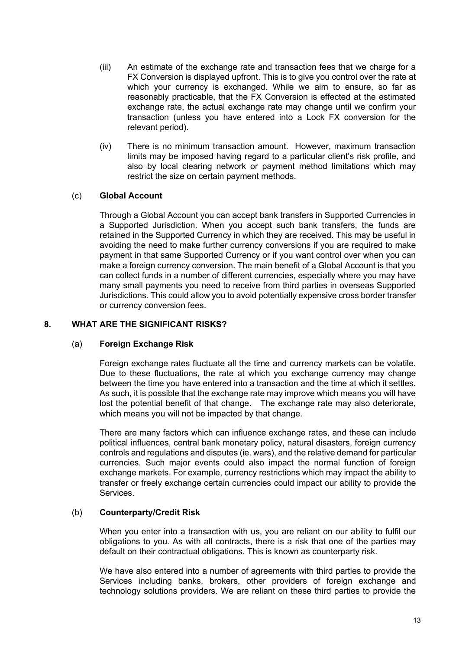- (iii) An estimate of the exchange rate and transaction fees that we charge for a FX Conversion is displayed upfront. This is to give you control over the rate at which your currency is exchanged. While we aim to ensure, so far as reasonably practicable, that the FX Conversion is effected at the estimated exchange rate, the actual exchange rate may change until we confirm your transaction (unless you have entered into a Lock FX conversion for the relevant period).
- (iv) There is no minimum transaction amount. However, maximum transaction limits may be imposed having regard to a particular client's risk profile, and also by local clearing network or payment method limitations which may restrict the size on certain payment methods.

# (c) **Global Account**

Through a Global Account you can accept bank transfers in Supported Currencies in a Supported Jurisdiction. When you accept such bank transfers, the funds are retained in the Supported Currency in which they are received. This may be useful in avoiding the need to make further currency conversions if you are required to make payment in that same Supported Currency or if you want control over when you can make a foreign currency conversion. The main benefit of a Global Account is that you can collect funds in a number of different currencies, especially where you may have many small payments you need to receive from third parties in overseas Supported Jurisdictions. This could allow you to avoid potentially expensive cross border transfer or currency conversion fees.

# **8. WHAT ARE THE SIGNIFICANT RISKS?**

# (a) **Foreign Exchange Risk**

Foreign exchange rates fluctuate all the time and currency markets can be volatile. Due to these fluctuations, the rate at which you exchange currency may change between the time you have entered into a transaction and the time at which it settles. As such, it is possible that the exchange rate may improve which means you will have lost the potential benefit of that change. The exchange rate may also deteriorate, which means you will not be impacted by that change.

There are many factors which can influence exchange rates, and these can include political influences, central bank monetary policy, natural disasters, foreign currency controls and regulations and disputes (ie. wars), and the relative demand for particular currencies. Such major events could also impact the normal function of foreign exchange markets. For example, currency restrictions which may impact the ability to transfer or freely exchange certain currencies could impact our ability to provide the Services.

# (b) **Counterparty/Credit Risk**

When you enter into a transaction with us, you are reliant on our ability to fulfil our obligations to you. As with all contracts, there is a risk that one of the parties may default on their contractual obligations. This is known as counterparty risk.

We have also entered into a number of agreements with third parties to provide the Services including banks, brokers, other providers of foreign exchange and technology solutions providers. We are reliant on these third parties to provide the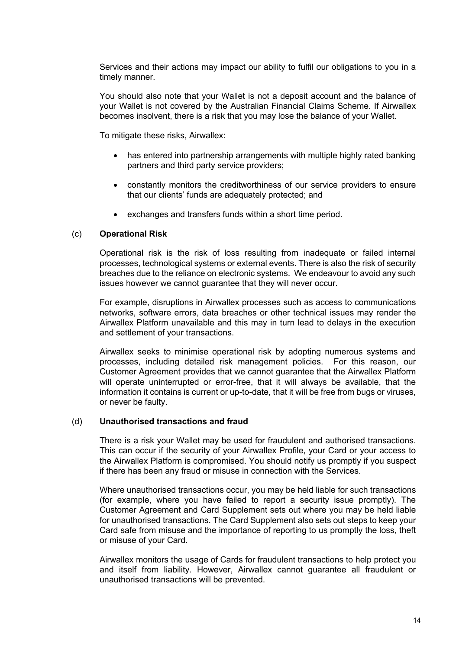Services and their actions may impact our ability to fulfil our obligations to you in a timely manner.

You should also note that your Wallet is not a deposit account and the balance of your Wallet is not covered by the Australian Financial Claims Scheme. If Airwallex becomes insolvent, there is a risk that you may lose the balance of your Wallet.

To mitigate these risks, Airwallex:

- has entered into partnership arrangements with multiple highly rated banking partners and third party service providers;
- constantly monitors the creditworthiness of our service providers to ensure that our clients' funds are adequately protected; and
- exchanges and transfers funds within a short time period.

# (c) **Operational Risk**

Operational risk is the risk of loss resulting from inadequate or failed internal processes, technological systems or external events. There is also the risk of security breaches due to the reliance on electronic systems. We endeavour to avoid any such issues however we cannot guarantee that they will never occur.

For example, disruptions in Airwallex processes such as access to communications networks, software errors, data breaches or other technical issues may render the Airwallex Platform unavailable and this may in turn lead to delays in the execution and settlement of your transactions.

Airwallex seeks to minimise operational risk by adopting numerous systems and processes, including detailed risk management policies. For this reason, our Customer Agreement provides that we cannot guarantee that the Airwallex Platform will operate uninterrupted or error-free, that it will always be available, that the information it contains is current or up-to-date, that it will be free from bugs or viruses, or never be faulty.

# (d) **Unauthorised transactions and fraud**

There is a risk your Wallet may be used for fraudulent and authorised transactions. This can occur if the security of your Airwallex Profile, your Card or your access to the Airwallex Platform is compromised. You should notify us promptly if you suspect if there has been any fraud or misuse in connection with the Services.

Where unauthorised transactions occur, you may be held liable for such transactions (for example, where you have failed to report a security issue promptly). The Customer Agreement and Card Supplement sets out where you may be held liable for unauthorised transactions. The Card Supplement also sets out steps to keep your Card safe from misuse and the importance of reporting to us promptly the loss, theft or misuse of your Card.

Airwallex monitors the usage of Cards for fraudulent transactions to help protect you and itself from liability. However, Airwallex cannot guarantee all fraudulent or unauthorised transactions will be prevented.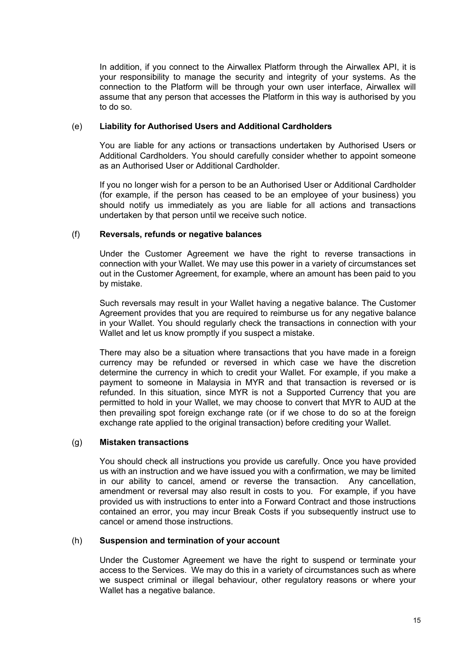In addition, if you connect to the Airwallex Platform through the Airwallex API, it is your responsibility to manage the security and integrity of your systems. As the connection to the Platform will be through your own user interface, Airwallex will assume that any person that accesses the Platform in this way is authorised by you to do so.

#### (e) **Liability for Authorised Users and Additional Cardholders**

You are liable for any actions or transactions undertaken by Authorised Users or Additional Cardholders. You should carefully consider whether to appoint someone as an Authorised User or Additional Cardholder.

If you no longer wish for a person to be an Authorised User or Additional Cardholder (for example, if the person has ceased to be an employee of your business) you should notify us immediately as you are liable for all actions and transactions undertaken by that person until we receive such notice.

#### (f) **Reversals, refunds or negative balances**

Under the Customer Agreement we have the right to reverse transactions in connection with your Wallet. We may use this power in a variety of circumstances set out in the Customer Agreement, for example, where an amount has been paid to you by mistake.

Such reversals may result in your Wallet having a negative balance. The Customer Agreement provides that you are required to reimburse us for any negative balance in your Wallet. You should regularly check the transactions in connection with your Wallet and let us know promptly if you suspect a mistake.

There may also be a situation where transactions that you have made in a foreign currency may be refunded or reversed in which case we have the discretion determine the currency in which to credit your Wallet. For example, if you make a payment to someone in Malaysia in MYR and that transaction is reversed or is refunded. In this situation, since MYR is not a Supported Currency that you are permitted to hold in your Wallet, we may choose to convert that MYR to AUD at the then prevailing spot foreign exchange rate (or if we chose to do so at the foreign exchange rate applied to the original transaction) before crediting your Wallet.

#### (g) **Mistaken transactions**

You should check all instructions you provide us carefully. Once you have provided us with an instruction and we have issued you with a confirmation, we may be limited in our ability to cancel, amend or reverse the transaction. Any cancellation, amendment or reversal may also result in costs to you. For example, if you have provided us with instructions to enter into a Forward Contract and those instructions contained an error, you may incur Break Costs if you subsequently instruct use to cancel or amend those instructions.

# (h) **Suspension and termination of your account**

Under the Customer Agreement we have the right to suspend or terminate your access to the Services. We may do this in a variety of circumstances such as where we suspect criminal or illegal behaviour, other regulatory reasons or where your Wallet has a negative balance.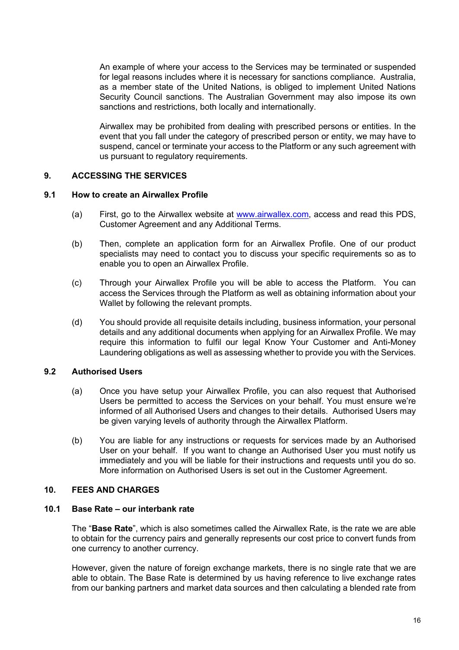An example of where your access to the Services may be terminated or suspended for legal reasons includes where it is necessary for sanctions compliance. Australia, as a member state of the United Nations, is obliged to implement United Nations Security Council sanctions. The Australian Government may also impose its own sanctions and restrictions, both locally and internationally.

Airwallex may be prohibited from dealing with prescribed persons or entities. In the event that you fall under the category of prescribed person or entity, we may have to suspend, cancel or terminate your access to the Platform or any such agreement with us pursuant to regulatory requirements.

# **9. ACCESSING THE SERVICES**

#### **9.1 How to create an Airwallex Profile**

- (a) First, go to the Airwallex website at www.airwallex.com, access and read this PDS, Customer Agreement and any Additional Terms.
- (b) Then, complete an application form for an Airwallex Profile. One of our product specialists may need to contact you to discuss your specific requirements so as to enable you to open an Airwallex Profile.
- (c) Through your Airwallex Profile you will be able to access the Platform. You can access the Services through the Platform as well as obtaining information about your Wallet by following the relevant prompts.
- (d) You should provide all requisite details including, business information, your personal details and any additional documents when applying for an Airwallex Profile. We may require this information to fulfil our legal Know Your Customer and Anti-Money Laundering obligations as well as assessing whether to provide you with the Services.

#### **9.2 Authorised Users**

- (a) Once you have setup your Airwallex Profile, you can also request that Authorised Users be permitted to access the Services on your behalf. You must ensure we're informed of all Authorised Users and changes to their details. Authorised Users may be given varying levels of authority through the Airwallex Platform.
- (b) You are liable for any instructions or requests for services made by an Authorised User on your behalf. If you want to change an Authorised User you must notify us immediately and you will be liable for their instructions and requests until you do so. More information on Authorised Users is set out in the Customer Agreement.

#### **10. FEES AND CHARGES**

#### **10.1 Base Rate – our interbank rate**

The "**Base Rate**", which is also sometimes called the Airwallex Rate, is the rate we are able to obtain for the currency pairs and generally represents our cost price to convert funds from one currency to another currency.

However, given the nature of foreign exchange markets, there is no single rate that we are able to obtain. The Base Rate is determined by us having reference to live exchange rates from our banking partners and market data sources and then calculating a blended rate from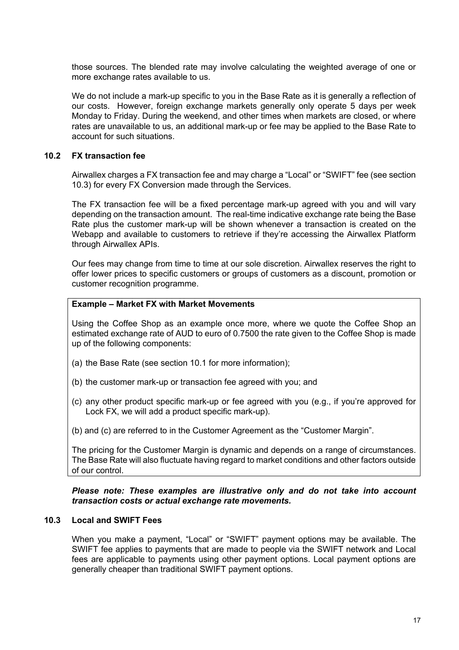those sources. The blended rate may involve calculating the weighted average of one or more exchange rates available to us.

We do not include a mark-up specific to you in the Base Rate as it is generally a reflection of our costs. However, foreign exchange markets generally only operate 5 days per week Monday to Friday. During the weekend, and other times when markets are closed, or where rates are unavailable to us, an additional mark-up or fee may be applied to the Base Rate to account for such situations.

#### **10.2 FX transaction fee**

Airwallex charges a FX transaction fee and may charge a "Local" or "SWIFT" fee (see section 10.3) for every FX Conversion made through the Services.

The FX transaction fee will be a fixed percentage mark-up agreed with you and will vary depending on the transaction amount. The real-time indicative exchange rate being the Base Rate plus the customer mark-up will be shown whenever a transaction is created on the Webapp and available to customers to retrieve if they're accessing the Airwallex Platform through Airwallex APIs.

Our fees may change from time to time at our sole discretion. Airwallex reserves the right to offer lower prices to specific customers or groups of customers as a discount, promotion or customer recognition programme.

#### **Example – Market FX with Market Movements**

Using the Coffee Shop as an example once more, where we quote the Coffee Shop an estimated exchange rate of AUD to euro of 0.7500 the rate given to the Coffee Shop is made up of the following components:

- (a) the Base Rate (see section 10.1 for more information);
- (b) the customer mark-up or transaction fee agreed with you; and
- (c) any other product specific mark-up or fee agreed with you (e.g., if you're approved for Lock FX, we will add a product specific mark-up).
- (b) and (c) are referred to in the Customer Agreement as the "Customer Margin".

The pricing for the Customer Margin is dynamic and depends on a range of circumstances. The Base Rate will also fluctuate having regard to market conditions and other factors outside of our control.

*Please note: These examples are illustrative only and do not take into account transaction costs or actual exchange rate movements.*

# **10.3 Local and SWIFT Fees**

When you make a payment, "Local" or "SWIFT" payment options may be available. The SWIFT fee applies to payments that are made to people via the SWIFT network and Local fees are applicable to payments using other payment options. Local payment options are generally cheaper than traditional SWIFT payment options.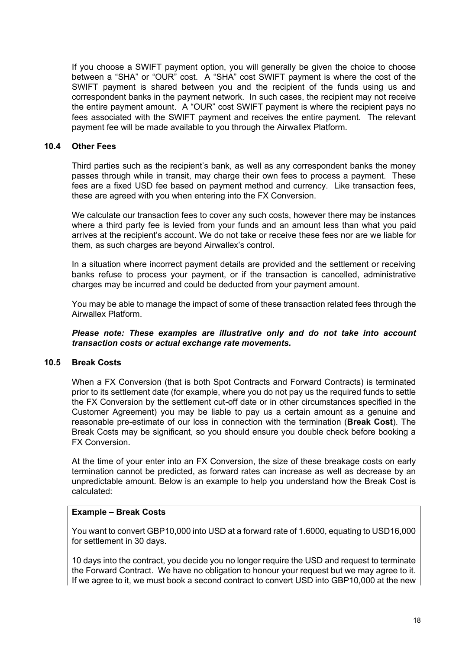If you choose a SWIFT payment option, you will generally be given the choice to choose between a "SHA" or "OUR" cost. A "SHA" cost SWIFT payment is where the cost of the SWIFT payment is shared between you and the recipient of the funds using us and correspondent banks in the payment network. In such cases, the recipient may not receive the entire payment amount. A "OUR" cost SWIFT payment is where the recipient pays no fees associated with the SWIFT payment and receives the entire payment. The relevant payment fee will be made available to you through the Airwallex Platform.

#### **10.4 Other Fees**

Third parties such as the recipient's bank, as well as any correspondent banks the money passes through while in transit, may charge their own fees to process a payment. These fees are a fixed USD fee based on payment method and currency. Like transaction fees, these are agreed with you when entering into the FX Conversion.

We calculate our transaction fees to cover any such costs, however there may be instances where a third party fee is levied from your funds and an amount less than what you paid arrives at the recipient's account. We do not take or receive these fees nor are we liable for them, as such charges are beyond Airwallex's control.

In a situation where incorrect payment details are provided and the settlement or receiving banks refuse to process your payment, or if the transaction is cancelled, administrative charges may be incurred and could be deducted from your payment amount.

You may be able to manage the impact of some of these transaction related fees through the Airwallex Platform.

*Please note: These examples are illustrative only and do not take into account transaction costs or actual exchange rate movements.*

#### **10.5 Break Costs**

When a FX Conversion (that is both Spot Contracts and Forward Contracts) is terminated prior to its settlement date (for example, where you do not pay us the required funds to settle the FX Conversion by the settlement cut-off date or in other circumstances specified in the Customer Agreement) you may be liable to pay us a certain amount as a genuine and reasonable pre-estimate of our loss in connection with the termination (**Break Cost**). The Break Costs may be significant, so you should ensure you double check before booking a FX Conversion.

At the time of your enter into an FX Conversion, the size of these breakage costs on early termination cannot be predicted, as forward rates can increase as well as decrease by an unpredictable amount. Below is an example to help you understand how the Break Cost is calculated:

#### **Example – Break Costs**

You want to convert GBP10,000 into USD at a forward rate of 1.6000, equating to USD16,000 for settlement in 30 days.

10 days into the contract, you decide you no longer require the USD and request to terminate the Forward Contract. We have no obligation to honour your request but we may agree to it. If we agree to it, we must book a second contract to convert USD into GBP10,000 at the new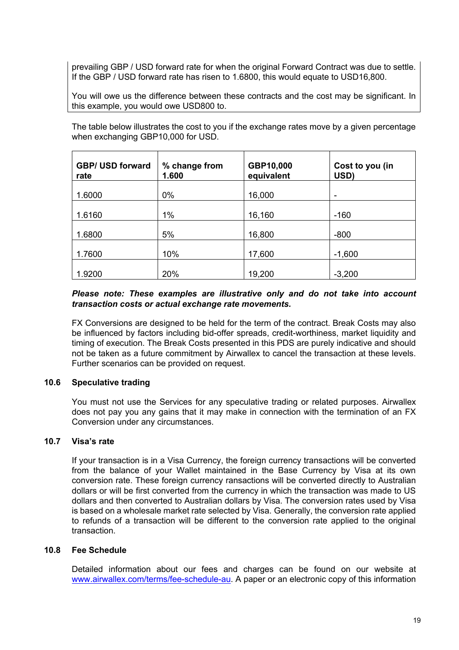prevailing GBP / USD forward rate for when the original Forward Contract was due to settle. If the GBP / USD forward rate has risen to 1.6800, this would equate to USD16,800.

You will owe us the difference between these contracts and the cost may be significant. In this example, you would owe USD800 to.

The table below illustrates the cost to you if the exchange rates move by a given percentage when exchanging GBP10,000 for USD.

| <b>GBP/ USD forward</b><br>rate | % change from<br>1.600 | GBP10,000<br>equivalent | Cost to you (in<br>USD)  |
|---------------------------------|------------------------|-------------------------|--------------------------|
| 1.6000                          | $0\%$                  | 16,000                  | $\overline{\phantom{a}}$ |
| 1.6160                          | 1%                     | 16,160                  | $-160$                   |
| 1.6800                          | 5%                     | 16,800                  | $-800$                   |
| 1.7600                          | 10%                    | 17,600                  | $-1,600$                 |
| 1.9200                          | 20%                    | 19,200                  | $-3,200$                 |

#### *Please note: These examples are illustrative only and do not take into account transaction costs or actual exchange rate movements.*

FX Conversions are designed to be held for the term of the contract. Break Costs may also be influenced by factors including bid-offer spreads, credit-worthiness, market liquidity and timing of execution. The Break Costs presented in this PDS are purely indicative and should not be taken as a future commitment by Airwallex to cancel the transaction at these levels. Further scenarios can be provided on request.

# **10.6 Speculative trading**

You must not use the Services for any speculative trading or related purposes. Airwallex does not pay you any gains that it may make in connection with the termination of an FX Conversion under any circumstances.

# **10.7 Visa's rate**

If your transaction is in a Visa Currency, the foreign currency transactions will be converted from the balance of your Wallet maintained in the Base Currency by Visa at its own conversion rate. These foreign currency ransactions will be converted directly to Australian dollars or will be first converted from the currency in which the transaction was made to US dollars and then converted to Australian dollars by Visa. The conversion rates used by Visa is based on a wholesale market rate selected by Visa. Generally, the conversion rate applied to refunds of a transaction will be different to the conversion rate applied to the original transaction.

#### **10.8 Fee Schedule**

Detailed information about our fees and charges can be found on our website at www.airwallex.com/terms/fee-schedule-au. A paper or an electronic copy of this information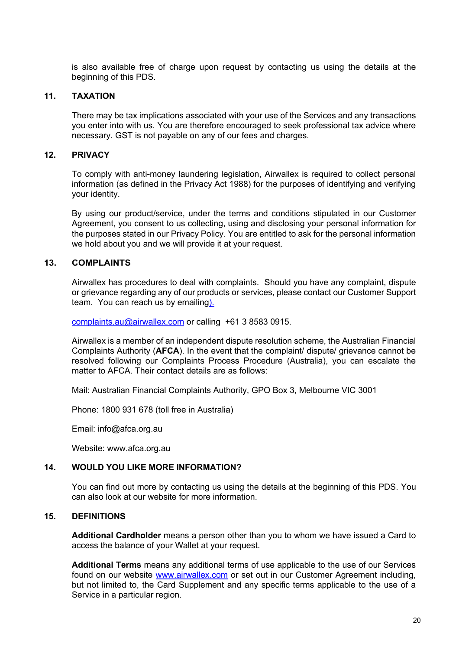is also available free of charge upon request by contacting us using the details at the beginning of this PDS.

#### **11. TAXATION**

There may be tax implications associated with your use of the Services and any transactions you enter into with us. You are therefore encouraged to seek professional tax advice where necessary. GST is not payable on any of our fees and charges.

#### **12. PRIVACY**

To comply with anti-money laundering legislation, Airwallex is required to collect personal information (as defined in the Privacy Act 1988) for the purposes of identifying and verifying your identity.

By using our product/service, under the terms and conditions stipulated in our Customer Agreement, you consent to us collecting, using and disclosing your personal information for the purposes stated in our Privacy Policy. You are entitled to ask for the personal information we hold about you and we will provide it at your request.

#### **13. COMPLAINTS**

Airwallex has procedures to deal with complaints. Should you have any complaint, dispute or grievance regarding any of our products or services, please contact our Customer Support team. You can reach us by emailing).

complaints.au@airwallex.com or calling +61 3 8583 0915.

Airwallex is a member of an independent dispute resolution scheme, the Australian Financial Complaints Authority (**AFCA**). In the event that the complaint/ dispute/ grievance cannot be resolved following our Complaints Process Procedure (Australia), you can escalate the matter to AFCA. Their contact details are as follows:

Mail: Australian Financial Complaints Authority, GPO Box 3, Melbourne VIC 3001

Phone: 1800 931 678 (toll free in Australia)

Email: info@afca.org.au

Website: www.afca.org.au

# **14. WOULD YOU LIKE MORE INFORMATION?**

You can find out more by contacting us using the details at the beginning of this PDS. You can also look at our website for more information.

# **15. DEFINITIONS**

**Additional Cardholder** means a person other than you to whom we have issued a Card to access the balance of your Wallet at your request.

**Additional Terms** means any additional terms of use applicable to the use of our Services found on our website www.airwallex.com or set out in our Customer Agreement including, but not limited to, the Card Supplement and any specific terms applicable to the use of a Service in a particular region.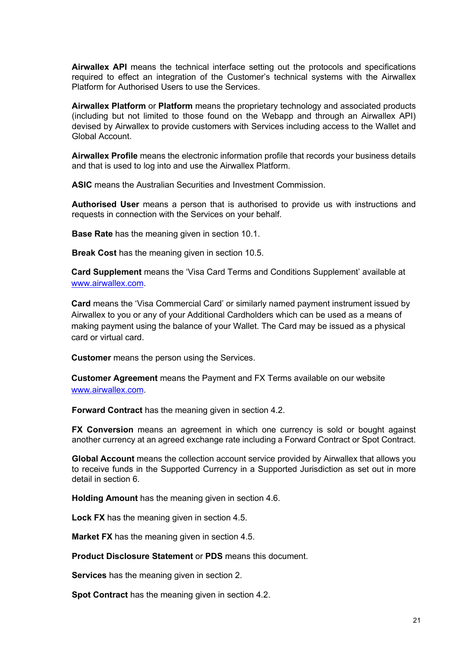**Airwallex API** means the technical interface setting out the protocols and specifications required to effect an integration of the Customer's technical systems with the Airwallex Platform for Authorised Users to use the Services.

**Airwallex Platform** or **Platform** means the proprietary technology and associated products (including but not limited to those found on the Webapp and through an Airwallex API) devised by Airwallex to provide customers with Services including access to the Wallet and Global Account.

**Airwallex Profile** means the electronic information profile that records your business details and that is used to log into and use the Airwallex Platform.

**ASIC** means the Australian Securities and Investment Commission.

**Authorised User** means a person that is authorised to provide us with instructions and requests in connection with the Services on your behalf.

**Base Rate** has the meaning given in section 10.1.

**Break Cost** has the meaning given in section 10.5.

**Card Supplement** means the 'Visa Card Terms and Conditions Supplement' available at www.airwallex.com.

**Card** means the 'Visa Commercial Card' or similarly named payment instrument issued by Airwallex to you or any of your Additional Cardholders which can be used as a means of making payment using the balance of your Wallet. The Card may be issued as a physical card or virtual card.

**Customer** means the person using the Services.

**Customer Agreement** means the Payment and FX Terms available on our website www.airwallex.com.

**Forward Contract** has the meaning given in section 4.2.

**FX Conversion** means an agreement in which one currency is sold or bought against another currency at an agreed exchange rate including a Forward Contract or Spot Contract.

**Global Account** means the collection account service provided by Airwallex that allows you to receive funds in the Supported Currency in a Supported Jurisdiction as set out in more detail in section 6.

**Holding Amount** has the meaning given in section 4.6.

**Lock FX** has the meaning given in section 4.5.

**Market FX** has the meaning given in section 4.5.

**Product Disclosure Statement** or **PDS** means this document.

**Services** has the meaning given in section 2.

**Spot Contract** has the meaning given in section 4.2.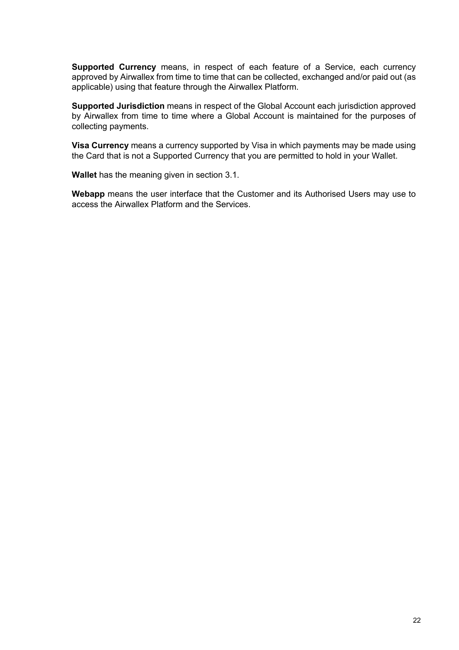**Supported Currency** means, in respect of each feature of a Service, each currency approved by Airwallex from time to time that can be collected, exchanged and/or paid out (as applicable) using that feature through the Airwallex Platform.

**Supported Jurisdiction** means in respect of the Global Account each jurisdiction approved by Airwallex from time to time where a Global Account is maintained for the purposes of collecting payments.

**Visa Currency** means a currency supported by Visa in which payments may be made using the Card that is not a Supported Currency that you are permitted to hold in your Wallet.

**Wallet** has the meaning given in section 3.1.

**Webapp** means the user interface that the Customer and its Authorised Users may use to access the Airwallex Platform and the Services.